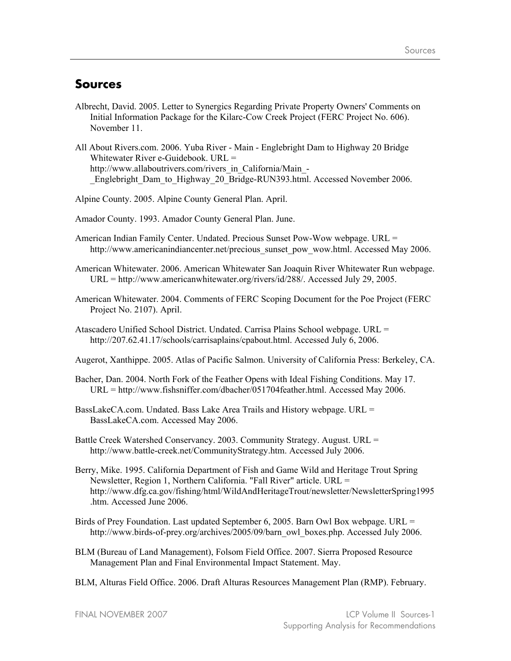## **Sources**

- Albrecht, David. 2005. Letter to Synergics Regarding Private Property Owners' Comments on Initial Information Package for the Kilarc-Cow Creek Project (FERC Project No. 606). November 11.
- All About Rivers.com. 2006. Yuba River Main Englebright Dam to Highway 20 Bridge Whitewater River e-Guidebook. URL = http://www.allaboutrivers.com/rivers\_in\_California/Main\_-Englebright Dam to Highway 20 Bridge-RUN393.html. Accessed November 2006.

Alpine County. 2005. Alpine County General Plan. April.

Amador County. 1993. Amador County General Plan. June.

- American Indian Family Center. Undated. Precious Sunset Pow-Wow webpage. URL = http://www.americanindiancenter.net/precious\_sunset\_pow\_wow.html. Accessed May 2006.
- American Whitewater. 2006. American Whitewater San Joaquin River Whitewater Run webpage. URL = http://www.americanwhitewater.org/rivers/id/288/. Accessed July 29, 2005.
- American Whitewater. 2004. Comments of FERC Scoping Document for the Poe Project (FERC Project No. 2107). April.

Atascadero Unified School District. Undated. Carrisa Plains School webpage. URL = http://207.62.41.17/schools/carrisaplains/cpabout.html. Accessed July 6, 2006.

- Augerot, Xanthippe. 2005. Atlas of Pacific Salmon. University of California Press: Berkeley, CA.
- Bacher, Dan. 2004. North Fork of the Feather Opens with Ideal Fishing Conditions. May 17. URL = http://www.fishsniffer.com/dbacher/051704feather.html. Accessed May 2006.
- BassLakeCA.com. Undated. Bass Lake Area Trails and History webpage. URL = BassLakeCA.com. Accessed May 2006.
- Battle Creek Watershed Conservancy. 2003. Community Strategy. August. URL = http://www.battle-creek.net/CommunityStrategy.htm. Accessed July 2006.
- Berry, Mike. 1995. California Department of Fish and Game Wild and Heritage Trout Spring Newsletter, Region 1, Northern California. "Fall River" article. URL = http://www.dfg.ca.gov/fishing/html/WildAndHeritageTrout/newsletter/NewsletterSpring1995 .htm. Accessed June 2006.
- Birds of Prey Foundation. Last updated September 6, 2005. Barn Owl Box webpage. URL = http://www.birds-of-prey.org/archives/2005/09/barn\_owl\_boxes.php. Accessed July 2006.
- BLM (Bureau of Land Management), Folsom Field Office. 2007. Sierra Proposed Resource Management Plan and Final Environmental Impact Statement. May.
- BLM, Alturas Field Office. 2006. Draft Alturas Resources Management Plan (RMP). February.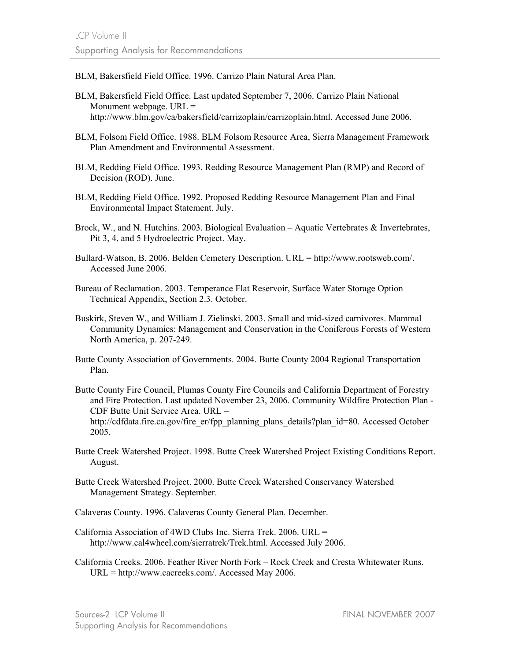BLM, Bakersfield Field Office. 1996. Carrizo Plain Natural Area Plan.

- BLM, Bakersfield Field Office. Last updated September 7, 2006. Carrizo Plain National Monument webpage.  $URL =$ http://www.blm.gov/ca/bakersfield/carrizoplain/carrizoplain.html. Accessed June 2006.
- BLM, Folsom Field Office. 1988. BLM Folsom Resource Area, Sierra Management Framework Plan Amendment and Environmental Assessment.
- BLM, Redding Field Office. 1993. Redding Resource Management Plan (RMP) and Record of Decision (ROD). June.
- BLM, Redding Field Office. 1992. Proposed Redding Resource Management Plan and Final Environmental Impact Statement. July.
- Brock, W., and N. Hutchins. 2003. Biological Evaluation Aquatic Vertebrates & Invertebrates, Pit 3, 4, and 5 Hydroelectric Project. May.
- Bullard-Watson, B. 2006. Belden Cemetery Description. URL = http://www.rootsweb.com/. Accessed June 2006.
- Bureau of Reclamation. 2003. Temperance Flat Reservoir, Surface Water Storage Option Technical Appendix, Section 2.3. October.
- Buskirk, Steven W., and William J. Zielinski. 2003. Small and mid-sized carnivores. Mammal Community Dynamics: Management and Conservation in the Coniferous Forests of Western North America, p. 207-249.
- Butte County Association of Governments. 2004. Butte County 2004 Regional Transportation Plan.
- Butte County Fire Council, Plumas County Fire Councils and California Department of Forestry and Fire Protection. Last updated November 23, 2006. Community Wildfire Protection Plan - CDF Butte Unit Service Area. URL = http://cdfdata.fire.ca.gov/fire\_er/fpp\_planning\_plans\_details?plan\_id=80. Accessed October 2005.
- Butte Creek Watershed Project. 1998. Butte Creek Watershed Project Existing Conditions Report. August.
- Butte Creek Watershed Project. 2000. Butte Creek Watershed Conservancy Watershed Management Strategy. September.
- Calaveras County. 1996. Calaveras County General Plan. December.
- California Association of 4WD Clubs Inc. Sierra Trek. 2006. URL = http://www.cal4wheel.com/sierratrek/Trek.html. Accessed July 2006.
- California Creeks. 2006. Feather River North Fork Rock Creek and Cresta Whitewater Runs. URL = http://www.cacreeks.com/. Accessed May 2006.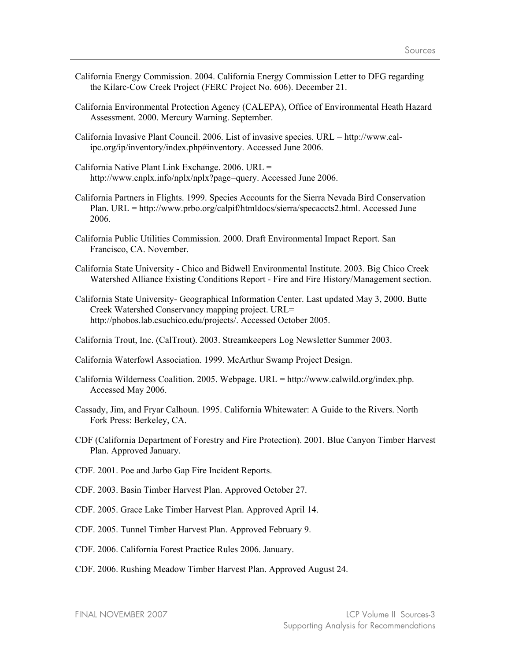- California Energy Commission. 2004. California Energy Commission Letter to DFG regarding the Kilarc-Cow Creek Project (FERC Project No. 606). December 21.
- California Environmental Protection Agency (CALEPA), Office of Environmental Heath Hazard Assessment. 2000. Mercury Warning. September.
- California Invasive Plant Council. 2006. List of invasive species. URL = http://www.calipc.org/ip/inventory/index.php#inventory. Accessed June 2006.
- California Native Plant Link Exchange. 2006. URL = http://www.cnplx.info/nplx/nplx?page=query. Accessed June 2006.
- California Partners in Flights. 1999. Species Accounts for the Sierra Nevada Bird Conservation Plan. URL = http://www.prbo.org/calpif/htmldocs/sierra/specaccts2.html. Accessed June 2006.
- California Public Utilities Commission. 2000. Draft Environmental Impact Report. San Francisco, CA. November.
- California State University Chico and Bidwell Environmental Institute. 2003. Big Chico Creek Watershed Alliance Existing Conditions Report - Fire and Fire History/Management section.
- California State University- Geographical Information Center. Last updated May 3, 2000. Butte Creek Watershed Conservancy mapping project. URL= http://phobos.lab.csuchico.edu/projects/. Accessed October 2005.
- California Trout, Inc. (CalTrout). 2003. Streamkeepers Log Newsletter Summer 2003.
- California Waterfowl Association. 1999. McArthur Swamp Project Design.
- California Wilderness Coalition. 2005. Webpage. URL = http://www.calwild.org/index.php. Accessed May 2006.
- Cassady, Jim, and Fryar Calhoun. 1995. California Whitewater: A Guide to the Rivers. North Fork Press: Berkeley, CA.
- CDF (California Department of Forestry and Fire Protection). 2001. Blue Canyon Timber Harvest Plan. Approved January.
- CDF. 2001. Poe and Jarbo Gap Fire Incident Reports.
- CDF. 2003. Basin Timber Harvest Plan. Approved October 27.
- CDF. 2005. Grace Lake Timber Harvest Plan. Approved April 14.
- CDF. 2005. Tunnel Timber Harvest Plan. Approved February 9.
- CDF. 2006. California Forest Practice Rules 2006. January.
- CDF. 2006. Rushing Meadow Timber Harvest Plan. Approved August 24.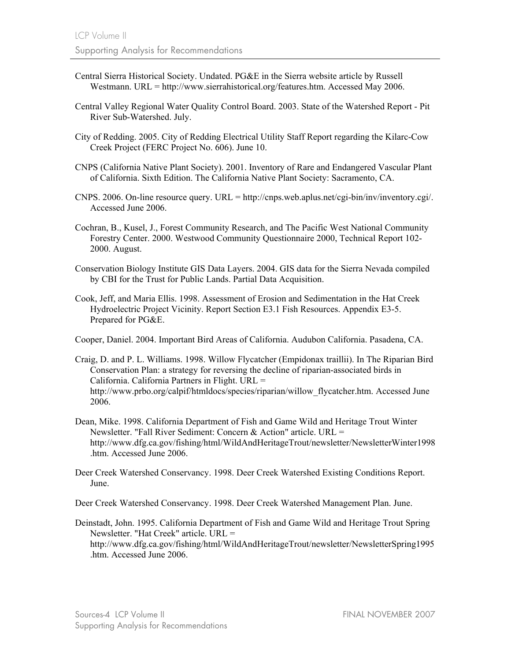- Central Sierra Historical Society. Undated. PG&E in the Sierra website article by Russell Westmann. URL = http://www.sierrahistorical.org/features.htm. Accessed May 2006.
- Central Valley Regional Water Quality Control Board. 2003. State of the Watershed Report Pit River Sub-Watershed. July.
- City of Redding. 2005. City of Redding Electrical Utility Staff Report regarding the Kilarc-Cow Creek Project (FERC Project No. 606). June 10.
- CNPS (California Native Plant Society). 2001. Inventory of Rare and Endangered Vascular Plant of California. Sixth Edition. The California Native Plant Society: Sacramento, CA.
- CNPS. 2006. On-line resource query. URL = http://cnps.web.aplus.net/cgi-bin/inv/inventory.cgi/. Accessed June 2006.
- Cochran, B., Kusel, J., Forest Community Research, and The Pacific West National Community Forestry Center. 2000. Westwood Community Questionnaire 2000, Technical Report 102- 2000. August.
- Conservation Biology Institute GIS Data Layers. 2004. GIS data for the Sierra Nevada compiled by CBI for the Trust for Public Lands. Partial Data Acquisition.
- Cook, Jeff, and Maria Ellis. 1998. Assessment of Erosion and Sedimentation in the Hat Creek Hydroelectric Project Vicinity. Report Section E3.1 Fish Resources. Appendix E3-5. Prepared for PG&E.

Cooper, Daniel. 2004. Important Bird Areas of California. Audubon California. Pasadena, CA.

- Craig, D. and P. L. Williams. 1998. Willow Flycatcher (Empidonax traillii). In The Riparian Bird Conservation Plan: a strategy for reversing the decline of riparian-associated birds in California. California Partners in Flight. URL = http://www.prbo.org/calpif/htmldocs/species/riparian/willow\_flycatcher.htm. Accessed June 2006.
- Dean, Mike. 1998. California Department of Fish and Game Wild and Heritage Trout Winter Newsletter. "Fall River Sediment: Concern & Action" article. URL = http://www.dfg.ca.gov/fishing/html/WildAndHeritageTrout/newsletter/NewsletterWinter1998 .htm. Accessed June 2006.
- Deer Creek Watershed Conservancy. 1998. Deer Creek Watershed Existing Conditions Report. June.

Deer Creek Watershed Conservancy. 1998. Deer Creek Watershed Management Plan. June.

Deinstadt, John. 1995. California Department of Fish and Game Wild and Heritage Trout Spring Newsletter. "Hat Creek" article. URL = http://www.dfg.ca.gov/fishing/html/WildAndHeritageTrout/newsletter/NewsletterSpring1995 .htm. Accessed June 2006.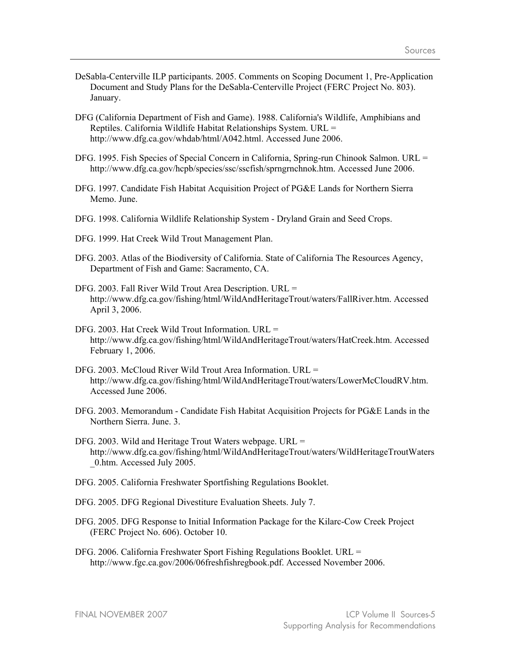- DeSabla-Centerville ILP participants. 2005. Comments on Scoping Document 1, Pre-Application Document and Study Plans for the DeSabla-Centerville Project (FERC Project No. 803). January.
- DFG (California Department of Fish and Game). 1988. California's Wildlife, Amphibians and Reptiles. California Wildlife Habitat Relationships System. URL = http://www.dfg.ca.gov/whdab/html/A042.html. Accessed June 2006.
- DFG. 1995. Fish Species of Special Concern in California, Spring-run Chinook Salmon. URL = http://www.dfg.ca.gov/hcpb/species/ssc/sscfish/sprngrnchnok.htm. Accessed June 2006.
- DFG. 1997. Candidate Fish Habitat Acquisition Project of PG&E Lands for Northern Sierra Memo. June.
- DFG. 1998. California Wildlife Relationship System Dryland Grain and Seed Crops.
- DFG. 1999. Hat Creek Wild Trout Management Plan.
- DFG. 2003. Atlas of the Biodiversity of California. State of California The Resources Agency, Department of Fish and Game: Sacramento, CA.
- DFG. 2003. Fall River Wild Trout Area Description. URL = http://www.dfg.ca.gov/fishing/html/WildAndHeritageTrout/waters/FallRiver.htm. Accessed April 3, 2006.
- DFG. 2003. Hat Creek Wild Trout Information. URL = http://www.dfg.ca.gov/fishing/html/WildAndHeritageTrout/waters/HatCreek.htm. Accessed February 1, 2006.
- DFG. 2003. McCloud River Wild Trout Area Information. URL = http://www.dfg.ca.gov/fishing/html/WildAndHeritageTrout/waters/LowerMcCloudRV.htm. Accessed June 2006.
- DFG. 2003. Memorandum Candidate Fish Habitat Acquisition Projects for PG&E Lands in the Northern Sierra. June. 3.
- DFG. 2003. Wild and Heritage Trout Waters webpage. URL = http://www.dfg.ca.gov/fishing/html/WildAndHeritageTrout/waters/WildHeritageTroutWaters \_0.htm. Accessed July 2005.
- DFG. 2005. California Freshwater Sportfishing Regulations Booklet.
- DFG. 2005. DFG Regional Divestiture Evaluation Sheets. July 7.
- DFG. 2005. DFG Response to Initial Information Package for the Kilarc-Cow Creek Project (FERC Project No. 606). October 10.
- DFG. 2006. California Freshwater Sport Fishing Regulations Booklet. URL = http://www.fgc.ca.gov/2006/06freshfishregbook.pdf. Accessed November 2006.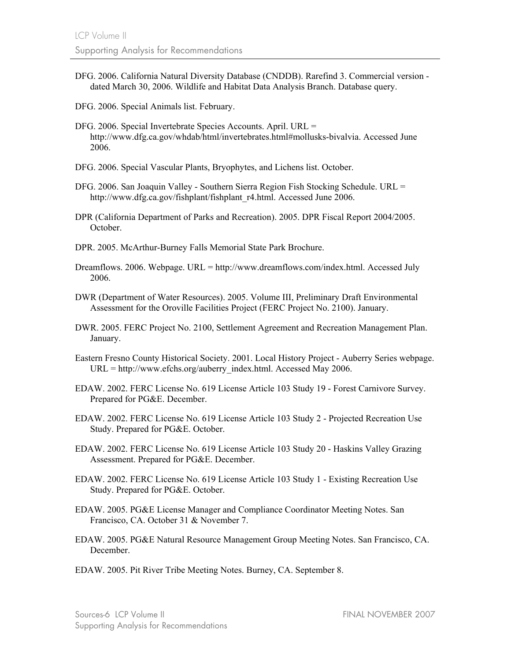- DFG. 2006. California Natural Diversity Database (CNDDB). Rarefind 3. Commercial version dated March 30, 2006. Wildlife and Habitat Data Analysis Branch. Database query.
- DFG. 2006. Special Animals list. February.
- DFG. 2006. Special Invertebrate Species Accounts. April. URL = http://www.dfg.ca.gov/whdab/html/invertebrates.html#mollusks-bivalvia. Accessed June 2006.
- DFG. 2006. Special Vascular Plants, Bryophytes, and Lichens list. October.
- DFG. 2006. San Joaquin Valley Southern Sierra Region Fish Stocking Schedule. URL = http://www.dfg.ca.gov/fishplant/fishplant\_r4.html. Accessed June 2006.
- DPR (California Department of Parks and Recreation). 2005. DPR Fiscal Report 2004/2005. October.
- DPR. 2005. McArthur-Burney Falls Memorial State Park Brochure.
- Dreamflows. 2006. Webpage. URL = http://www.dreamflows.com/index.html. Accessed July 2006.
- DWR (Department of Water Resources). 2005. Volume III, Preliminary Draft Environmental Assessment for the Oroville Facilities Project (FERC Project No. 2100). January.
- DWR. 2005. FERC Project No. 2100, Settlement Agreement and Recreation Management Plan. January.
- Eastern Fresno County Historical Society. 2001. Local History Project Auberry Series webpage. URL = http://www.efchs.org/auberry\_index.html. Accessed May 2006.
- EDAW. 2002. FERC License No. 619 License Article 103 Study 19 Forest Carnivore Survey. Prepared for PG&E. December.
- EDAW. 2002. FERC License No. 619 License Article 103 Study 2 Projected Recreation Use Study. Prepared for PG&E. October.
- EDAW. 2002. FERC License No. 619 License Article 103 Study 20 Haskins Valley Grazing Assessment. Prepared for PG&E. December.
- EDAW. 2002. FERC License No. 619 License Article 103 Study 1 Existing Recreation Use Study. Prepared for PG&E. October.
- EDAW. 2005. PG&E License Manager and Compliance Coordinator Meeting Notes. San Francisco, CA. October 31 & November 7.
- EDAW. 2005. PG&E Natural Resource Management Group Meeting Notes. San Francisco, CA. December.
- EDAW. 2005. Pit River Tribe Meeting Notes. Burney, CA. September 8.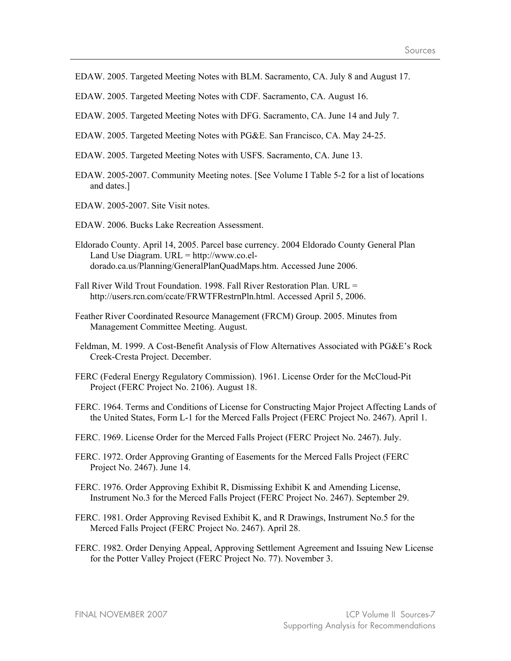- EDAW. 2005. Targeted Meeting Notes with BLM. Sacramento, CA. July 8 and August 17.
- EDAW. 2005. Targeted Meeting Notes with CDF. Sacramento, CA. August 16.
- EDAW. 2005. Targeted Meeting Notes with DFG. Sacramento, CA. June 14 and July 7.
- EDAW. 2005. Targeted Meeting Notes with PG&E. San Francisco, CA. May 24-25.
- EDAW. 2005. Targeted Meeting Notes with USFS. Sacramento, CA. June 13.
- EDAW. 2005-2007. Community Meeting notes. [See Volume I Table 5-2 for a list of locations and dates.]
- EDAW. 2005-2007. Site Visit notes.
- EDAW. 2006. Bucks Lake Recreation Assessment.
- Eldorado County. April 14, 2005. Parcel base currency. 2004 Eldorado County General Plan Land Use Diagram.  $URL =  $http://www.co-el$$ dorado.ca.us/Planning/GeneralPlanQuadMaps.htm. Accessed June 2006.
- Fall River Wild Trout Foundation. 1998. Fall River Restoration Plan. URL = http://users.rcn.com/ccate/FRWTFRestrnPln.html. Accessed April 5, 2006.
- Feather River Coordinated Resource Management (FRCM) Group. 2005. Minutes from Management Committee Meeting. August.
- Feldman, M. 1999. A Cost-Benefit Analysis of Flow Alternatives Associated with PG&E's Rock Creek-Cresta Project. December.
- FERC (Federal Energy Regulatory Commission). 1961. License Order for the McCloud-Pit Project (FERC Project No. 2106). August 18.
- FERC. 1964. Terms and Conditions of License for Constructing Major Project Affecting Lands of the United States, Form L-1 for the Merced Falls Project (FERC Project No. 2467). April 1.
- FERC. 1969. License Order for the Merced Falls Project (FERC Project No. 2467). July.
- FERC. 1972. Order Approving Granting of Easements for the Merced Falls Project (FERC Project No. 2467). June 14.
- FERC. 1976. Order Approving Exhibit R, Dismissing Exhibit K and Amending License, Instrument No.3 for the Merced Falls Project (FERC Project No. 2467). September 29.
- FERC. 1981. Order Approving Revised Exhibit K, and R Drawings, Instrument No.5 for the Merced Falls Project (FERC Project No. 2467). April 28.
- FERC. 1982. Order Denying Appeal, Approving Settlement Agreement and Issuing New License for the Potter Valley Project (FERC Project No. 77). November 3.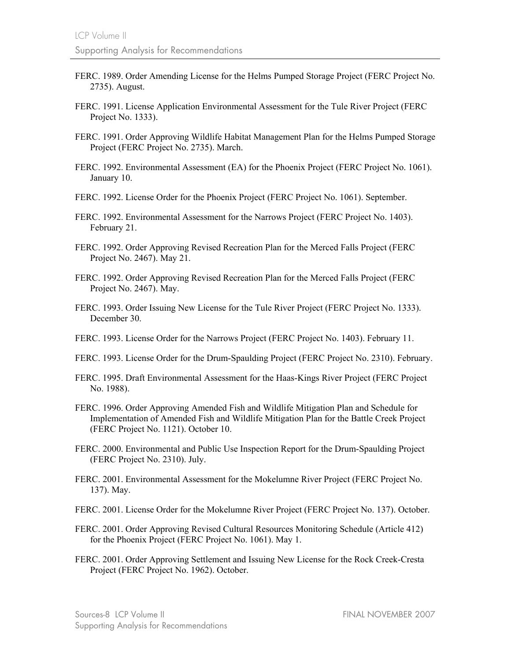- FERC. 1989. Order Amending License for the Helms Pumped Storage Project (FERC Project No. 2735). August.
- FERC. 1991. License Application Environmental Assessment for the Tule River Project (FERC Project No. 1333).
- FERC. 1991. Order Approving Wildlife Habitat Management Plan for the Helms Pumped Storage Project (FERC Project No. 2735). March.
- FERC. 1992. Environmental Assessment (EA) for the Phoenix Project (FERC Project No. 1061). January 10.
- FERC. 1992. License Order for the Phoenix Project (FERC Project No. 1061). September.
- FERC. 1992. Environmental Assessment for the Narrows Project (FERC Project No. 1403). February 21.
- FERC. 1992. Order Approving Revised Recreation Plan for the Merced Falls Project (FERC Project No. 2467). May 21.
- FERC. 1992. Order Approving Revised Recreation Plan for the Merced Falls Project (FERC Project No. 2467). May.
- FERC. 1993. Order Issuing New License for the Tule River Project (FERC Project No. 1333). December 30.
- FERC. 1993. License Order for the Narrows Project (FERC Project No. 1403). February 11.
- FERC. 1993. License Order for the Drum-Spaulding Project (FERC Project No. 2310). February.
- FERC. 1995. Draft Environmental Assessment for the Haas-Kings River Project (FERC Project No. 1988).
- FERC. 1996. Order Approving Amended Fish and Wildlife Mitigation Plan and Schedule for Implementation of Amended Fish and Wildlife Mitigation Plan for the Battle Creek Project (FERC Project No. 1121). October 10.
- FERC. 2000. Environmental and Public Use Inspection Report for the Drum-Spaulding Project (FERC Project No. 2310). July.
- FERC. 2001. Environmental Assessment for the Mokelumne River Project (FERC Project No. 137). May.
- FERC. 2001. License Order for the Mokelumne River Project (FERC Project No. 137). October.
- FERC. 2001. Order Approving Revised Cultural Resources Monitoring Schedule (Article 412) for the Phoenix Project (FERC Project No. 1061). May 1.
- FERC. 2001. Order Approving Settlement and Issuing New License for the Rock Creek-Cresta Project (FERC Project No. 1962). October.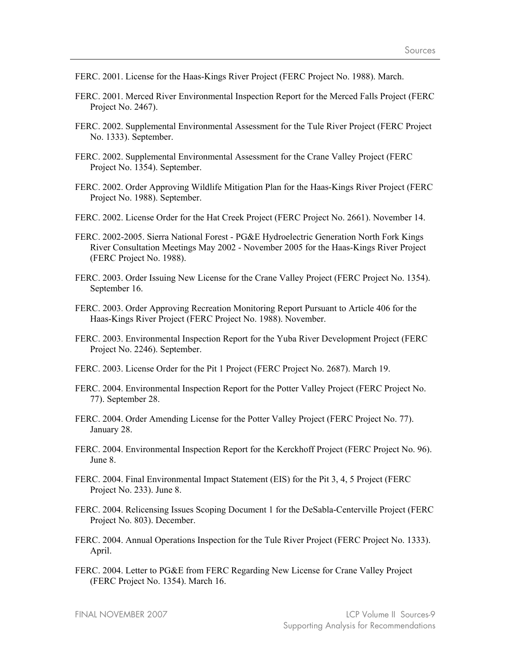- FERC. 2001. License for the Haas-Kings River Project (FERC Project No. 1988). March.
- FERC. 2001. Merced River Environmental Inspection Report for the Merced Falls Project (FERC Project No. 2467).
- FERC. 2002. Supplemental Environmental Assessment for the Tule River Project (FERC Project No. 1333). September.
- FERC. 2002. Supplemental Environmental Assessment for the Crane Valley Project (FERC Project No. 1354). September.
- FERC. 2002. Order Approving Wildlife Mitigation Plan for the Haas-Kings River Project (FERC Project No. 1988). September.
- FERC. 2002. License Order for the Hat Creek Project (FERC Project No. 2661). November 14.
- FERC. 2002-2005. Sierra National Forest PG&E Hydroelectric Generation North Fork Kings River Consultation Meetings May 2002 - November 2005 for the Haas-Kings River Project (FERC Project No. 1988).
- FERC. 2003. Order Issuing New License for the Crane Valley Project (FERC Project No. 1354). September 16.
- FERC. 2003. Order Approving Recreation Monitoring Report Pursuant to Article 406 for the Haas-Kings River Project (FERC Project No. 1988). November.
- FERC. 2003. Environmental Inspection Report for the Yuba River Development Project (FERC Project No. 2246). September.
- FERC. 2003. License Order for the Pit 1 Project (FERC Project No. 2687). March 19.
- FERC. 2004. Environmental Inspection Report for the Potter Valley Project (FERC Project No. 77). September 28.
- FERC. 2004. Order Amending License for the Potter Valley Project (FERC Project No. 77). January 28.
- FERC. 2004. Environmental Inspection Report for the Kerckhoff Project (FERC Project No. 96). June 8.
- FERC. 2004. Final Environmental Impact Statement (EIS) for the Pit 3, 4, 5 Project (FERC Project No. 233). June 8.
- FERC. 2004. Relicensing Issues Scoping Document 1 for the DeSabla-Centerville Project (FERC Project No. 803). December.
- FERC. 2004. Annual Operations Inspection for the Tule River Project (FERC Project No. 1333). April.
- FERC. 2004. Letter to PG&E from FERC Regarding New License for Crane Valley Project (FERC Project No. 1354). March 16.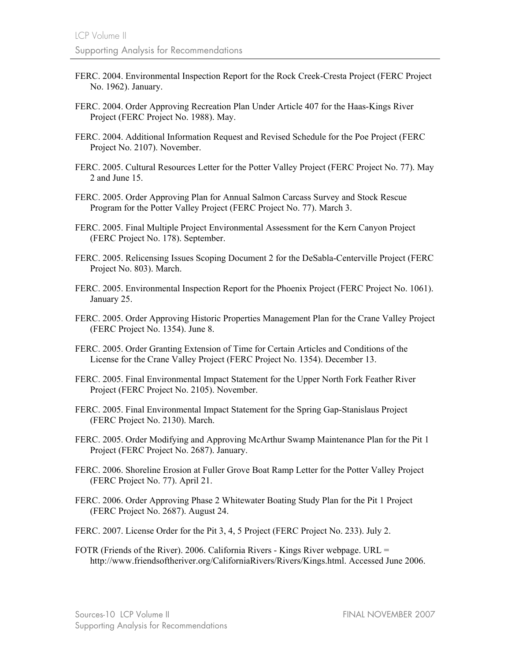- FERC. 2004. Environmental Inspection Report for the Rock Creek-Cresta Project (FERC Project No. 1962). January.
- FERC. 2004. Order Approving Recreation Plan Under Article 407 for the Haas-Kings River Project (FERC Project No. 1988). May.
- FERC. 2004. Additional Information Request and Revised Schedule for the Poe Project (FERC Project No. 2107). November.
- FERC. 2005. Cultural Resources Letter for the Potter Valley Project (FERC Project No. 77). May 2 and June 15.
- FERC. 2005. Order Approving Plan for Annual Salmon Carcass Survey and Stock Rescue Program for the Potter Valley Project (FERC Project No. 77). March 3.
- FERC. 2005. Final Multiple Project Environmental Assessment for the Kern Canyon Project (FERC Project No. 178). September.
- FERC. 2005. Relicensing Issues Scoping Document 2 for the DeSabla-Centerville Project (FERC Project No. 803). March.
- FERC. 2005. Environmental Inspection Report for the Phoenix Project (FERC Project No. 1061). January 25.
- FERC. 2005. Order Approving Historic Properties Management Plan for the Crane Valley Project (FERC Project No. 1354). June 8.
- FERC. 2005. Order Granting Extension of Time for Certain Articles and Conditions of the License for the Crane Valley Project (FERC Project No. 1354). December 13.
- FERC. 2005. Final Environmental Impact Statement for the Upper North Fork Feather River Project (FERC Project No. 2105). November.
- FERC. 2005. Final Environmental Impact Statement for the Spring Gap-Stanislaus Project (FERC Project No. 2130). March.
- FERC. 2005. Order Modifying and Approving McArthur Swamp Maintenance Plan for the Pit 1 Project (FERC Project No. 2687). January.
- FERC. 2006. Shoreline Erosion at Fuller Grove Boat Ramp Letter for the Potter Valley Project (FERC Project No. 77). April 21.
- FERC. 2006. Order Approving Phase 2 Whitewater Boating Study Plan for the Pit 1 Project (FERC Project No. 2687). August 24.
- FERC. 2007. License Order for the Pit 3, 4, 5 Project (FERC Project No. 233). July 2.
- FOTR (Friends of the River). 2006. California Rivers Kings River webpage. URL = http://www.friendsoftheriver.org/CaliforniaRivers/Rivers/Kings.html. Accessed June 2006.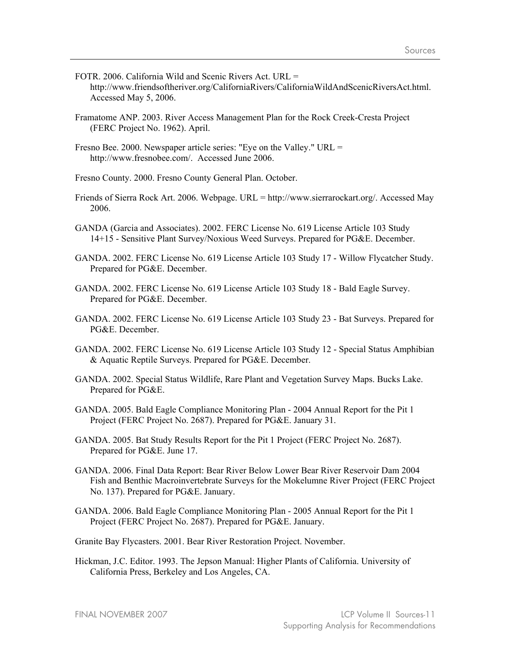- FOTR. 2006. California Wild and Scenic Rivers Act. URL = http://www.friendsoftheriver.org/CaliforniaRivers/CaliforniaWildAndScenicRiversAct.html. Accessed May 5, 2006.
- Framatome ANP. 2003. River Access Management Plan for the Rock Creek-Cresta Project (FERC Project No. 1962). April.
- Fresno Bee. 2000. Newspaper article series: "Eye on the Valley." URL = http://www.fresnobee.com/. Accessed June 2006.
- Fresno County. 2000. Fresno County General Plan. October.
- Friends of Sierra Rock Art. 2006. Webpage. URL = http://www.sierrarockart.org/. Accessed May 2006.
- GANDA (Garcia and Associates). 2002. FERC License No. 619 License Article 103 Study 14+15 - Sensitive Plant Survey/Noxious Weed Surveys. Prepared for PG&E. December.
- GANDA. 2002. FERC License No. 619 License Article 103 Study 17 Willow Flycatcher Study. Prepared for PG&E. December.
- GANDA. 2002. FERC License No. 619 License Article 103 Study 18 Bald Eagle Survey. Prepared for PG&E. December.
- GANDA. 2002. FERC License No. 619 License Article 103 Study 23 Bat Surveys. Prepared for PG&E. December.
- GANDA. 2002. FERC License No. 619 License Article 103 Study 12 Special Status Amphibian & Aquatic Reptile Surveys. Prepared for PG&E. December.
- GANDA. 2002. Special Status Wildlife, Rare Plant and Vegetation Survey Maps. Bucks Lake. Prepared for PG&E.
- GANDA. 2005. Bald Eagle Compliance Monitoring Plan 2004 Annual Report for the Pit 1 Project (FERC Project No. 2687). Prepared for PG&E. January 31.
- GANDA. 2005. Bat Study Results Report for the Pit 1 Project (FERC Project No. 2687). Prepared for PG&E. June 17.
- GANDA. 2006. Final Data Report: Bear River Below Lower Bear River Reservoir Dam 2004 Fish and Benthic Macroinvertebrate Surveys for the Mokelumne River Project (FERC Project No. 137). Prepared for PG&E. January.
- GANDA. 2006. Bald Eagle Compliance Monitoring Plan 2005 Annual Report for the Pit 1 Project (FERC Project No. 2687). Prepared for PG&E. January.
- Granite Bay Flycasters. 2001. Bear River Restoration Project. November.
- Hickman, J.C. Editor. 1993. The Jepson Manual: Higher Plants of California. University of California Press, Berkeley and Los Angeles, CA.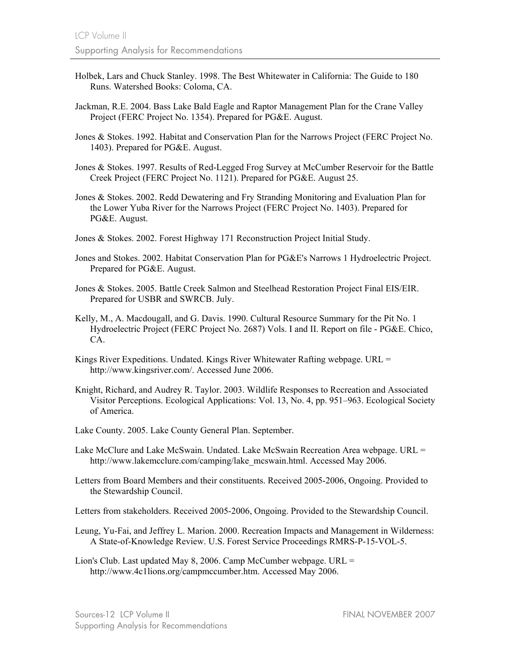- Holbek, Lars and Chuck Stanley. 1998. The Best Whitewater in California: The Guide to 180 Runs. Watershed Books: Coloma, CA.
- Jackman, R.E. 2004. Bass Lake Bald Eagle and Raptor Management Plan for the Crane Valley Project (FERC Project No. 1354). Prepared for PG&E. August.
- Jones & Stokes. 1992. Habitat and Conservation Plan for the Narrows Project (FERC Project No. 1403). Prepared for PG&E. August.
- Jones & Stokes. 1997. Results of Red-Legged Frog Survey at McCumber Reservoir for the Battle Creek Project (FERC Project No. 1121). Prepared for PG&E. August 25.
- Jones & Stokes. 2002. Redd Dewatering and Fry Stranding Monitoring and Evaluation Plan for the Lower Yuba River for the Narrows Project (FERC Project No. 1403). Prepared for PG&E. August.
- Jones & Stokes. 2002. Forest Highway 171 Reconstruction Project Initial Study.
- Jones and Stokes. 2002. Habitat Conservation Plan for PG&E's Narrows 1 Hydroelectric Project. Prepared for PG&E. August.
- Jones & Stokes. 2005. Battle Creek Salmon and Steelhead Restoration Project Final EIS/EIR. Prepared for USBR and SWRCB. July.
- Kelly, M., A. Macdougall, and G. Davis. 1990. Cultural Resource Summary for the Pit No. 1 Hydroelectric Project (FERC Project No. 2687) Vols. I and II. Report on file - PG&E. Chico, CA.
- Kings River Expeditions. Undated. Kings River Whitewater Rafting webpage. URL = http://www.kingsriver.com/. Accessed June 2006.
- Knight, Richard, and Audrey R. Taylor. 2003. Wildlife Responses to Recreation and Associated Visitor Perceptions. Ecological Applications: Vol. 13, No. 4, pp. 951–963. Ecological Society of America.
- Lake County. 2005. Lake County General Plan. September.
- Lake McClure and Lake McSwain. Undated. Lake McSwain Recreation Area webpage. URL = http://www.lakemcclure.com/camping/lake\_mcswain.html. Accessed May 2006.
- Letters from Board Members and their constituents. Received 2005-2006, Ongoing. Provided to the Stewardship Council.
- Letters from stakeholders. Received 2005-2006, Ongoing. Provided to the Stewardship Council.
- Leung, Yu-Fai, and Jeffrey L. Marion. 2000. Recreation Impacts and Management in Wilderness: A State-of-Knowledge Review. U.S. Forest Service Proceedings RMRS-P-15-VOL-5.
- Lion's Club. Last updated May 8, 2006. Camp McCumber webpage. URL = http://www.4c1lions.org/campmccumber.htm. Accessed May 2006.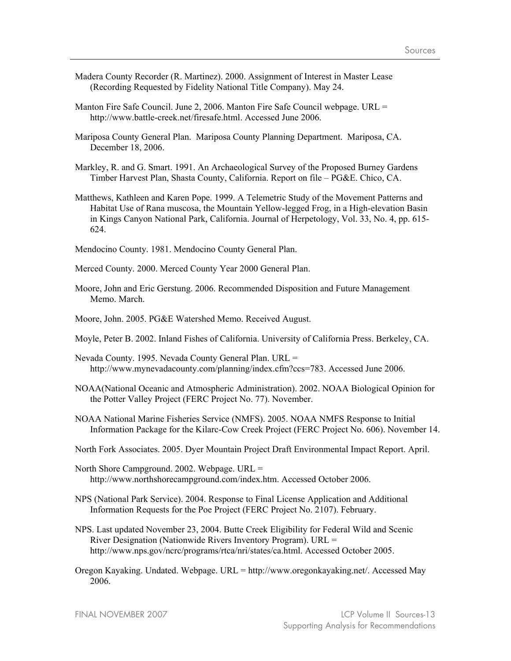- Madera County Recorder (R. Martinez). 2000. Assignment of Interest in Master Lease (Recording Requested by Fidelity National Title Company). May 24.
- Manton Fire Safe Council. June 2, 2006. Manton Fire Safe Council webpage. URL = http://www.battle-creek.net/firesafe.html. Accessed June 2006.
- Mariposa County General Plan. Mariposa County Planning Department. Mariposa, CA. December 18, 2006.
- Markley, R. and G. Smart. 1991. An Archaeological Survey of the Proposed Burney Gardens Timber Harvest Plan, Shasta County, California. Report on file – PG&E. Chico, CA.
- Matthews, Kathleen and Karen Pope. 1999. A Telemetric Study of the Movement Patterns and Habitat Use of Rana muscosa, the Mountain Yellow-legged Frog, in a High-elevation Basin in Kings Canyon National Park, California. Journal of Herpetology, Vol. 33, No. 4, pp. 615- 624.

Mendocino County. 1981. Mendocino County General Plan.

- Merced County. 2000. Merced County Year 2000 General Plan.
- Moore, John and Eric Gerstung. 2006. Recommended Disposition and Future Management Memo. March.
- Moore, John. 2005. PG&E Watershed Memo. Received August.
- Moyle, Peter B. 2002. Inland Fishes of California. University of California Press. Berkeley, CA.
- Nevada County. 1995. Nevada County General Plan. URL = http://www.mynevadacounty.com/planning/index.cfm?ccs=783. Accessed June 2006.
- NOAA(National Oceanic and Atmospheric Administration). 2002. NOAA Biological Opinion for the Potter Valley Project (FERC Project No. 77). November.
- NOAA National Marine Fisheries Service (NMFS). 2005. NOAA NMFS Response to Initial Information Package for the Kilarc-Cow Creek Project (FERC Project No. 606). November 14.
- North Fork Associates. 2005. Dyer Mountain Project Draft Environmental Impact Report. April.
- North Shore Campground. 2002. Webpage. URL = http://www.northshorecampground.com/index.htm. Accessed October 2006.
- NPS (National Park Service). 2004. Response to Final License Application and Additional Information Requests for the Poe Project (FERC Project No. 2107). February.
- NPS. Last updated November 23, 2004. Butte Creek Eligibility for Federal Wild and Scenic River Designation (Nationwide Rivers Inventory Program). URL = http://www.nps.gov/ncrc/programs/rtca/nri/states/ca.html. Accessed October 2005.
- Oregon Kayaking. Undated. Webpage. URL = http://www.oregonkayaking.net/. Accessed May 2006.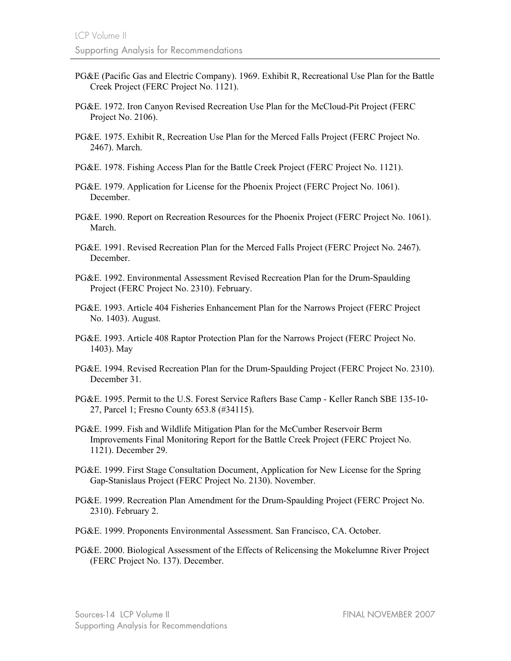- PG&E (Pacific Gas and Electric Company). 1969. Exhibit R, Recreational Use Plan for the Battle Creek Project (FERC Project No. 1121).
- PG&E. 1972. Iron Canyon Revised Recreation Use Plan for the McCloud-Pit Project (FERC Project No. 2106).
- PG&E. 1975. Exhibit R, Recreation Use Plan for the Merced Falls Project (FERC Project No. 2467). March.
- PG&E. 1978. Fishing Access Plan for the Battle Creek Project (FERC Project No. 1121).
- PG&E. 1979. Application for License for the Phoenix Project (FERC Project No. 1061). December.
- PG&E. 1990. Report on Recreation Resources for the Phoenix Project (FERC Project No. 1061). March.
- PG&E. 1991. Revised Recreation Plan for the Merced Falls Project (FERC Project No. 2467). December.
- PG&E. 1992. Environmental Assessment Revised Recreation Plan for the Drum-Spaulding Project (FERC Project No. 2310). February.
- PG&E. 1993. Article 404 Fisheries Enhancement Plan for the Narrows Project (FERC Project No. 1403). August.
- PG&E. 1993. Article 408 Raptor Protection Plan for the Narrows Project (FERC Project No. 1403). May
- PG&E. 1994. Revised Recreation Plan for the Drum-Spaulding Project (FERC Project No. 2310). December 31.
- PG&E. 1995. Permit to the U.S. Forest Service Rafters Base Camp Keller Ranch SBE 135-10- 27, Parcel 1; Fresno County 653.8 (#34115).
- PG&E. 1999. Fish and Wildlife Mitigation Plan for the McCumber Reservoir Berm Improvements Final Monitoring Report for the Battle Creek Project (FERC Project No. 1121). December 29.
- PG&E. 1999. First Stage Consultation Document, Application for New License for the Spring Gap-Stanislaus Project (FERC Project No. 2130). November.
- PG&E. 1999. Recreation Plan Amendment for the Drum-Spaulding Project (FERC Project No. 2310). February 2.
- PG&E. 1999. Proponents Environmental Assessment. San Francisco, CA. October.
- PG&E. 2000. Biological Assessment of the Effects of Relicensing the Mokelumne River Project (FERC Project No. 137). December.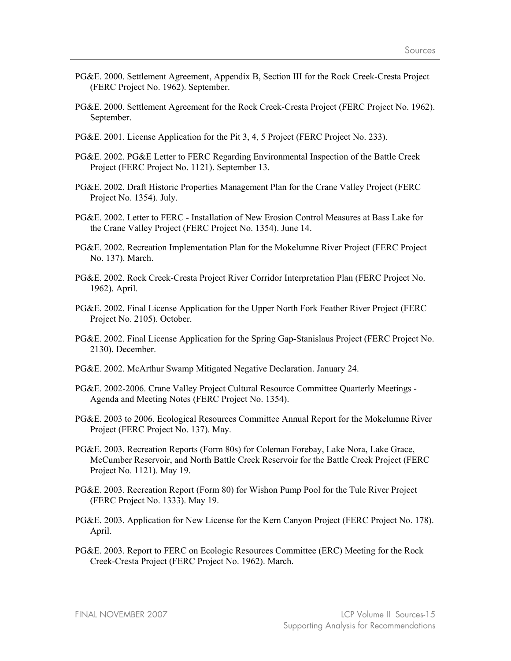- PG&E. 2000. Settlement Agreement, Appendix B, Section III for the Rock Creek-Cresta Project (FERC Project No. 1962). September.
- PG&E. 2000. Settlement Agreement for the Rock Creek-Cresta Project (FERC Project No. 1962). September.
- PG&E. 2001. License Application for the Pit 3, 4, 5 Project (FERC Project No. 233).
- PG&E. 2002. PG&E Letter to FERC Regarding Environmental Inspection of the Battle Creek Project (FERC Project No. 1121). September 13.
- PG&E. 2002. Draft Historic Properties Management Plan for the Crane Valley Project (FERC Project No. 1354). July.
- PG&E. 2002. Letter to FERC Installation of New Erosion Control Measures at Bass Lake for the Crane Valley Project (FERC Project No. 1354). June 14.
- PG&E. 2002. Recreation Implementation Plan for the Mokelumne River Project (FERC Project No. 137). March.
- PG&E. 2002. Rock Creek-Cresta Project River Corridor Interpretation Plan (FERC Project No. 1962). April.
- PG&E. 2002. Final License Application for the Upper North Fork Feather River Project (FERC Project No. 2105). October.
- PG&E. 2002. Final License Application for the Spring Gap-Stanislaus Project (FERC Project No. 2130). December.
- PG&E. 2002. McArthur Swamp Mitigated Negative Declaration. January 24.
- PG&E. 2002-2006. Crane Valley Project Cultural Resource Committee Quarterly Meetings Agenda and Meeting Notes (FERC Project No. 1354).
- PG&E. 2003 to 2006. Ecological Resources Committee Annual Report for the Mokelumne River Project (FERC Project No. 137). May.
- PG&E. 2003. Recreation Reports (Form 80s) for Coleman Forebay, Lake Nora, Lake Grace, McCumber Reservoir, and North Battle Creek Reservoir for the Battle Creek Project (FERC Project No. 1121). May 19.
- PG&E. 2003. Recreation Report (Form 80) for Wishon Pump Pool for the Tule River Project (FERC Project No. 1333). May 19.
- PG&E. 2003. Application for New License for the Kern Canyon Project (FERC Project No. 178). April.
- PG&E. 2003. Report to FERC on Ecologic Resources Committee (ERC) Meeting for the Rock Creek-Cresta Project (FERC Project No. 1962). March.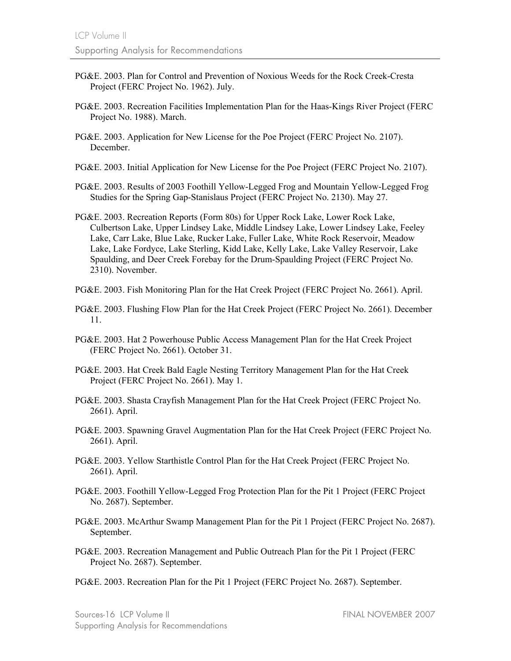- PG&E. 2003. Plan for Control and Prevention of Noxious Weeds for the Rock Creek-Cresta Project (FERC Project No. 1962). July.
- PG&E. 2003. Recreation Facilities Implementation Plan for the Haas-Kings River Project (FERC Project No. 1988). March.
- PG&E. 2003. Application for New License for the Poe Project (FERC Project No. 2107). December.
- PG&E. 2003. Initial Application for New License for the Poe Project (FERC Project No. 2107).
- PG&E. 2003. Results of 2003 Foothill Yellow-Legged Frog and Mountain Yellow-Legged Frog Studies for the Spring Gap-Stanislaus Project (FERC Project No. 2130). May 27.
- PG&E. 2003. Recreation Reports (Form 80s) for Upper Rock Lake, Lower Rock Lake, Culbertson Lake, Upper Lindsey Lake, Middle Lindsey Lake, Lower Lindsey Lake, Feeley Lake, Carr Lake, Blue Lake, Rucker Lake, Fuller Lake, White Rock Reservoir, Meadow Lake, Lake Fordyce, Lake Sterling, Kidd Lake, Kelly Lake, Lake Valley Reservoir, Lake Spaulding, and Deer Creek Forebay for the Drum-Spaulding Project (FERC Project No. 2310). November.
- PG&E. 2003. Fish Monitoring Plan for the Hat Creek Project (FERC Project No. 2661). April.
- PG&E. 2003. Flushing Flow Plan for the Hat Creek Project (FERC Project No. 2661). December 11.
- PG&E. 2003. Hat 2 Powerhouse Public Access Management Plan for the Hat Creek Project (FERC Project No. 2661). October 31.
- PG&E. 2003. Hat Creek Bald Eagle Nesting Territory Management Plan for the Hat Creek Project (FERC Project No. 2661). May 1.
- PG&E. 2003. Shasta Crayfish Management Plan for the Hat Creek Project (FERC Project No. 2661). April.
- PG&E. 2003. Spawning Gravel Augmentation Plan for the Hat Creek Project (FERC Project No. 2661). April.
- PG&E. 2003. Yellow Starthistle Control Plan for the Hat Creek Project (FERC Project No. 2661). April.
- PG&E. 2003. Foothill Yellow-Legged Frog Protection Plan for the Pit 1 Project (FERC Project No. 2687). September.
- PG&E. 2003. McArthur Swamp Management Plan for the Pit 1 Project (FERC Project No. 2687). September.
- PG&E. 2003. Recreation Management and Public Outreach Plan for the Pit 1 Project (FERC Project No. 2687). September.
- PG&E. 2003. Recreation Plan for the Pit 1 Project (FERC Project No. 2687). September.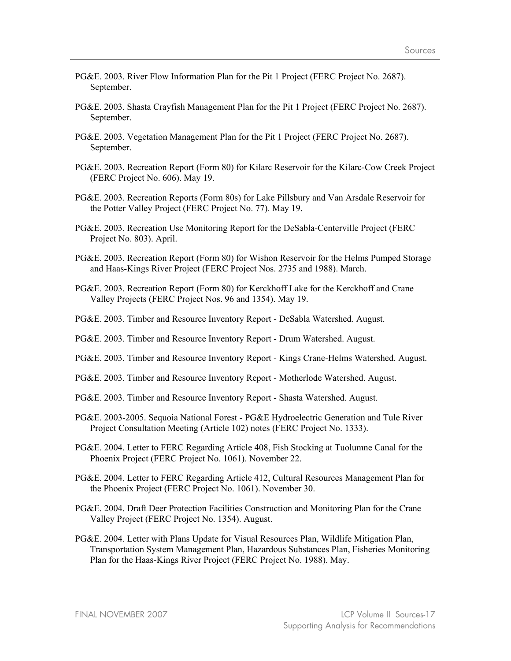- PG&E. 2003. River Flow Information Plan for the Pit 1 Project (FERC Project No. 2687). September.
- PG&E. 2003. Shasta Crayfish Management Plan for the Pit 1 Project (FERC Project No. 2687). September.
- PG&E. 2003. Vegetation Management Plan for the Pit 1 Project (FERC Project No. 2687). September.
- PG&E. 2003. Recreation Report (Form 80) for Kilarc Reservoir for the Kilarc-Cow Creek Project (FERC Project No. 606). May 19.
- PG&E. 2003. Recreation Reports (Form 80s) for Lake Pillsbury and Van Arsdale Reservoir for the Potter Valley Project (FERC Project No. 77). May 19.
- PG&E. 2003. Recreation Use Monitoring Report for the DeSabla-Centerville Project (FERC Project No. 803). April.
- PG&E. 2003. Recreation Report (Form 80) for Wishon Reservoir for the Helms Pumped Storage and Haas-Kings River Project (FERC Project Nos. 2735 and 1988). March.
- PG&E. 2003. Recreation Report (Form 80) for Kerckhoff Lake for the Kerckhoff and Crane Valley Projects (FERC Project Nos. 96 and 1354). May 19.
- PG&E. 2003. Timber and Resource Inventory Report DeSabla Watershed. August.
- PG&E. 2003. Timber and Resource Inventory Report Drum Watershed. August.
- PG&E. 2003. Timber and Resource Inventory Report Kings Crane-Helms Watershed. August.
- PG&E. 2003. Timber and Resource Inventory Report Motherlode Watershed. August.
- PG&E. 2003. Timber and Resource Inventory Report Shasta Watershed. August.
- PG&E. 2003-2005. Sequoia National Forest PG&E Hydroelectric Generation and Tule River Project Consultation Meeting (Article 102) notes (FERC Project No. 1333).
- PG&E. 2004. Letter to FERC Regarding Article 408, Fish Stocking at Tuolumne Canal for the Phoenix Project (FERC Project No. 1061). November 22.
- PG&E. 2004. Letter to FERC Regarding Article 412, Cultural Resources Management Plan for the Phoenix Project (FERC Project No. 1061). November 30.
- PG&E. 2004. Draft Deer Protection Facilities Construction and Monitoring Plan for the Crane Valley Project (FERC Project No. 1354). August.
- PG&E. 2004. Letter with Plans Update for Visual Resources Plan, Wildlife Mitigation Plan, Transportation System Management Plan, Hazardous Substances Plan, Fisheries Monitoring Plan for the Haas-Kings River Project (FERC Project No. 1988). May.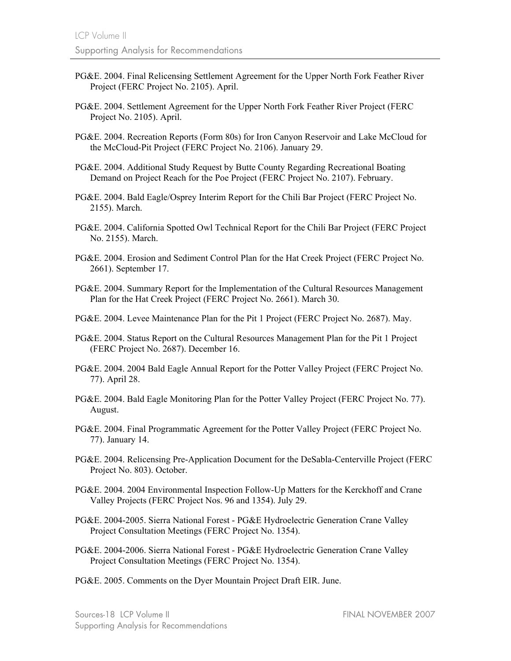- PG&E. 2004. Final Relicensing Settlement Agreement for the Upper North Fork Feather River Project (FERC Project No. 2105). April.
- PG&E. 2004. Settlement Agreement for the Upper North Fork Feather River Project (FERC Project No. 2105). April.
- PG&E. 2004. Recreation Reports (Form 80s) for Iron Canyon Reservoir and Lake McCloud for the McCloud-Pit Project (FERC Project No. 2106). January 29.
- PG&E. 2004. Additional Study Request by Butte County Regarding Recreational Boating Demand on Project Reach for the Poe Project (FERC Project No. 2107). February.
- PG&E. 2004. Bald Eagle/Osprey Interim Report for the Chili Bar Project (FERC Project No. 2155). March.
- PG&E. 2004. California Spotted Owl Technical Report for the Chili Bar Project (FERC Project No. 2155). March.
- PG&E. 2004. Erosion and Sediment Control Plan for the Hat Creek Project (FERC Project No. 2661). September 17.
- PG&E. 2004. Summary Report for the Implementation of the Cultural Resources Management Plan for the Hat Creek Project (FERC Project No. 2661). March 30.
- PG&E. 2004. Levee Maintenance Plan for the Pit 1 Project (FERC Project No. 2687). May.
- PG&E. 2004. Status Report on the Cultural Resources Management Plan for the Pit 1 Project (FERC Project No. 2687). December 16.
- PG&E. 2004. 2004 Bald Eagle Annual Report for the Potter Valley Project (FERC Project No. 77). April 28.
- PG&E. 2004. Bald Eagle Monitoring Plan for the Potter Valley Project (FERC Project No. 77). August.
- PG&E. 2004. Final Programmatic Agreement for the Potter Valley Project (FERC Project No. 77). January 14.
- PG&E. 2004. Relicensing Pre-Application Document for the DeSabla-Centerville Project (FERC Project No. 803). October.
- PG&E. 2004. 2004 Environmental Inspection Follow-Up Matters for the Kerckhoff and Crane Valley Projects (FERC Project Nos. 96 and 1354). July 29.
- PG&E. 2004-2005. Sierra National Forest PG&E Hydroelectric Generation Crane Valley Project Consultation Meetings (FERC Project No. 1354).
- PG&E. 2004-2006. Sierra National Forest PG&E Hydroelectric Generation Crane Valley Project Consultation Meetings (FERC Project No. 1354).
- PG&E. 2005. Comments on the Dyer Mountain Project Draft EIR. June.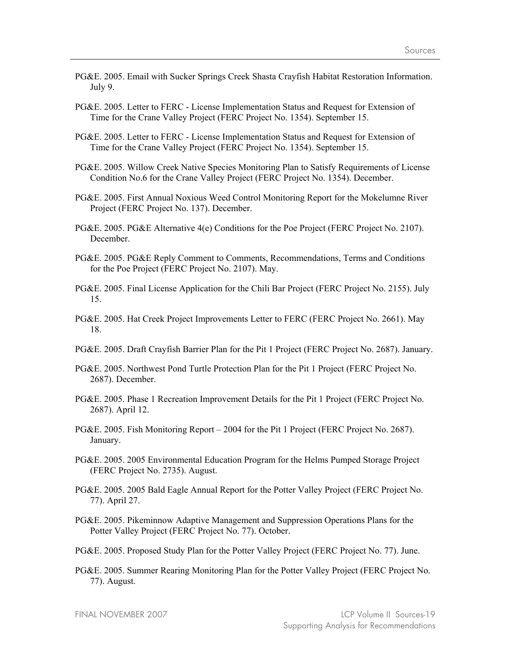- PG&E. 2005. Email with Sucker Springs Creek Shasta Crayfish Habitat Restoration Information. July 9.
- PG&E. 2005. Letter to FERC License Implementation Status and Request for Extension of Time for the Crane Valley Project (FERC Project No. 1354). September 15.
- PG&E. 2005. Letter to FERC License Implementation Status and Request for Extension of Time for the Crane Valley Project (FERC Project No. 1354). September 15.
- PG&E. 2005. Willow Creek Native Species Monitoring Plan to Satisfy Requirements of License Condition No.6 for the Crane Valley Project (FERC Project No. 1354). December.
- PG&E. 2005. First Annual Noxious Weed Control Monitoring Report for the Mokelumne River Project (FERC Project No. 137). December.
- PG&E. 2005. PG&E Alternative 4(e) Conditions for the Poe Project (FERC Project No. 2107). December.
- PG&E. 2005. PG&E Reply Comment to Comments, Recommendations, Terms and Conditions for the Poe Project (FERC Project No. 2107). May.
- PG&E. 2005. Final License Application for the Chili Bar Project (FERC Project No. 2155). July 15.
- PG&E. 2005. Hat Creek Project Improvements Letter to FERC (FERC Project No. 2661). May 18.
- PG&E. 2005. Draft Crayfish Barrier Plan for the Pit 1 Project (FERC Project No. 2687). January.
- PG&E. 2005. Northwest Pond Turtle Protection Plan for the Pit 1 Project (FERC Project No. 2687). December.
- PG&E. 2005. Phase 1 Recreation Improvement Details for the Pit 1 Project (FERC Project No. 2687). April 12.
- PG&E. 2005. Fish Monitoring Report 2004 for the Pit 1 Project (FERC Project No. 2687). January.
- PG&E. 2005. 2005 Environmental Education Program for the Helms Pumped Storage Project (FERC Project No. 2735). August.
- PG&E. 2005. 2005 Bald Eagle Annual Report for the Potter Valley Project (FERC Project No. 77). April 27.
- PG&E. 2005. Pikeminnow Adaptive Management and Suppression Operations Plans for the Potter Valley Project (FERC Project No. 77). October.
- PG&E. 2005. Proposed Study Plan for the Potter Valley Project (FERC Project No. 77). June.
- PG&E. 2005. Summer Rearing Monitoring Plan for the Potter Valley Project (FERC Project No. 77). August.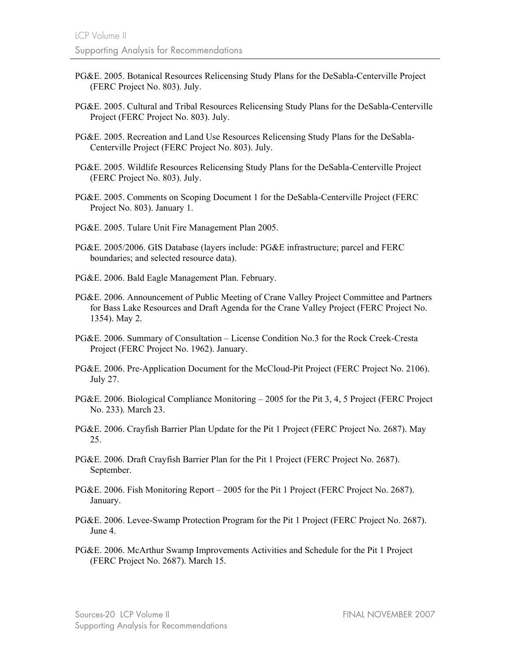- PG&E. 2005. Botanical Resources Relicensing Study Plans for the DeSabla-Centerville Project (FERC Project No. 803). July.
- PG&E. 2005. Cultural and Tribal Resources Relicensing Study Plans for the DeSabla-Centerville Project (FERC Project No. 803). July.
- PG&E. 2005. Recreation and Land Use Resources Relicensing Study Plans for the DeSabla-Centerville Project (FERC Project No. 803). July.
- PG&E. 2005. Wildlife Resources Relicensing Study Plans for the DeSabla-Centerville Project (FERC Project No. 803). July.
- PG&E. 2005. Comments on Scoping Document 1 for the DeSabla-Centerville Project (FERC Project No. 803). January 1.
- PG&E. 2005. Tulare Unit Fire Management Plan 2005.
- PG&E. 2005/2006. GIS Database (layers include: PG&E infrastructure; parcel and FERC boundaries; and selected resource data).
- PG&E. 2006. Bald Eagle Management Plan. February.
- PG&E. 2006. Announcement of Public Meeting of Crane Valley Project Committee and Partners for Bass Lake Resources and Draft Agenda for the Crane Valley Project (FERC Project No. 1354). May 2.
- PG&E. 2006. Summary of Consultation License Condition No.3 for the Rock Creek-Cresta Project (FERC Project No. 1962). January.
- PG&E. 2006. Pre-Application Document for the McCloud-Pit Project (FERC Project No. 2106). July 27.
- PG&E. 2006. Biological Compliance Monitoring 2005 for the Pit 3, 4, 5 Project (FERC Project No. 233). March 23.
- PG&E. 2006. Crayfish Barrier Plan Update for the Pit 1 Project (FERC Project No. 2687). May 25.
- PG&E. 2006. Draft Crayfish Barrier Plan for the Pit 1 Project (FERC Project No. 2687). September.
- PG&E. 2006. Fish Monitoring Report 2005 for the Pit 1 Project (FERC Project No. 2687). January.
- PG&E. 2006. Levee-Swamp Protection Program for the Pit 1 Project (FERC Project No. 2687). June 4.
- PG&E. 2006. McArthur Swamp Improvements Activities and Schedule for the Pit 1 Project (FERC Project No. 2687). March 15.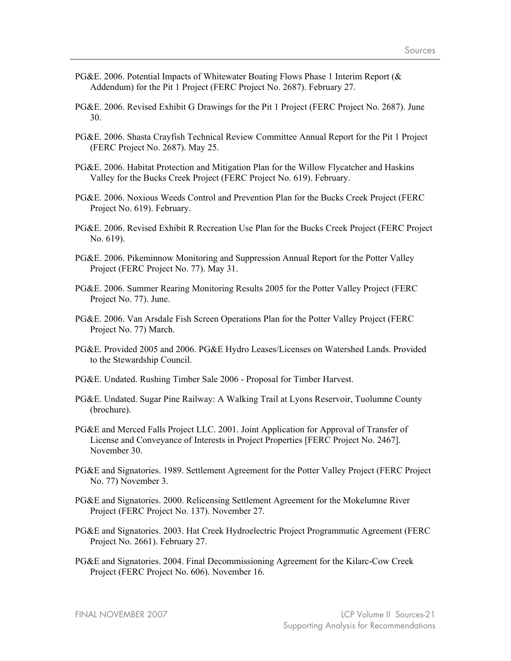- PG&E. 2006. Potential Impacts of Whitewater Boating Flows Phase 1 Interim Report (& Addendum) for the Pit 1 Project (FERC Project No. 2687). February 27.
- PG&E. 2006. Revised Exhibit G Drawings for the Pit 1 Project (FERC Project No. 2687). June 30.
- PG&E. 2006. Shasta Crayfish Technical Review Committee Annual Report for the Pit 1 Project (FERC Project No. 2687). May 25.
- PG&E. 2006. Habitat Protection and Mitigation Plan for the Willow Flycatcher and Haskins Valley for the Bucks Creek Project (FERC Project No. 619). February.
- PG&E. 2006. Noxious Weeds Control and Prevention Plan for the Bucks Creek Project (FERC Project No. 619). February.
- PG&E. 2006. Revised Exhibit R Recreation Use Plan for the Bucks Creek Project (FERC Project No. 619).
- PG&E. 2006. Pikeminnow Monitoring and Suppression Annual Report for the Potter Valley Project (FERC Project No. 77). May 31.
- PG&E. 2006. Summer Rearing Monitoring Results 2005 for the Potter Valley Project (FERC Project No. 77). June.
- PG&E. 2006. Van Arsdale Fish Screen Operations Plan for the Potter Valley Project (FERC Project No. 77) March.
- PG&E. Provided 2005 and 2006. PG&E Hydro Leases/Licenses on Watershed Lands. Provided to the Stewardship Council.
- PG&E. Undated. Rushing Timber Sale 2006 Proposal for Timber Harvest.
- PG&E. Undated. Sugar Pine Railway: A Walking Trail at Lyons Reservoir, Tuolumne County (brochure).
- PG&E and Merced Falls Project LLC. 2001. Joint Application for Approval of Transfer of License and Conveyance of Interests in Project Properties [FERC Project No. 2467]. November 30.
- PG&E and Signatories. 1989. Settlement Agreement for the Potter Valley Project (FERC Project No. 77) November 3.
- PG&E and Signatories. 2000. Relicensing Settlement Agreement for the Mokelumne River Project (FERC Project No. 137). November 27.
- PG&E and Signatories. 2003. Hat Creek Hydroelectric Project Programmatic Agreement (FERC Project No. 2661). February 27.
- PG&E and Signatories. 2004. Final Decommissioning Agreement for the Kilarc-Cow Creek Project (FERC Project No. 606). November 16.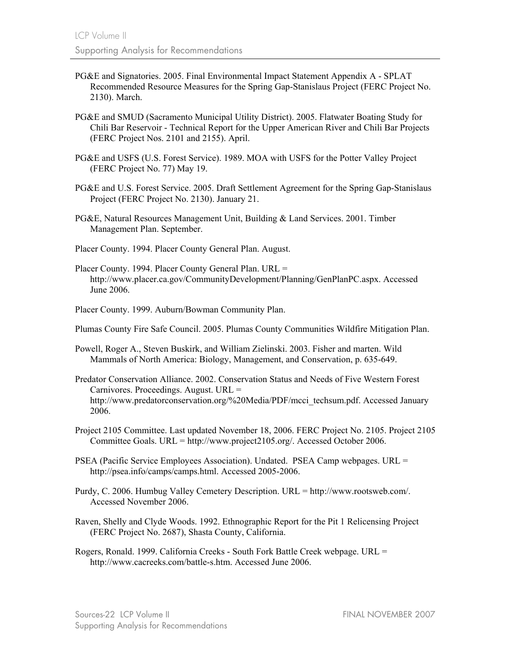- PG&E and Signatories. 2005. Final Environmental Impact Statement Appendix A SPLAT Recommended Resource Measures for the Spring Gap-Stanislaus Project (FERC Project No. 2130). March.
- PG&E and SMUD (Sacramento Municipal Utility District). 2005. Flatwater Boating Study for Chili Bar Reservoir - Technical Report for the Upper American River and Chili Bar Projects (FERC Project Nos. 2101 and 2155). April.
- PG&E and USFS (U.S. Forest Service). 1989. MOA with USFS for the Potter Valley Project (FERC Project No. 77) May 19.
- PG&E and U.S. Forest Service. 2005. Draft Settlement Agreement for the Spring Gap-Stanislaus Project (FERC Project No. 2130). January 21.
- PG&E, Natural Resources Management Unit, Building & Land Services. 2001. Timber Management Plan. September.
- Placer County. 1994. Placer County General Plan. August.
- Placer County. 1994. Placer County General Plan. URL = http://www.placer.ca.gov/CommunityDevelopment/Planning/GenPlanPC.aspx. Accessed June 2006.
- Placer County. 1999. Auburn/Bowman Community Plan.

Plumas County Fire Safe Council. 2005. Plumas County Communities Wildfire Mitigation Plan.

- Powell, Roger A., Steven Buskirk, and William Zielinski. 2003. Fisher and marten. Wild Mammals of North America: Biology, Management, and Conservation, p. 635-649.
- Predator Conservation Alliance. 2002. Conservation Status and Needs of Five Western Forest Carnivores. Proceedings. August. URL = http://www.predatorconservation.org/%20Media/PDF/mcci\_techsum.pdf. Accessed January 2006.
- Project 2105 Committee. Last updated November 18, 2006. FERC Project No. 2105. Project 2105 Committee Goals. URL = http://www.project2105.org/. Accessed October 2006.
- PSEA (Pacific Service Employees Association). Undated. PSEA Camp webpages. URL = http://psea.info/camps/camps.html. Accessed 2005-2006.
- Purdy, C. 2006. Humbug Valley Cemetery Description. URL = http://www.rootsweb.com/. Accessed November 2006.
- Raven, Shelly and Clyde Woods. 1992. Ethnographic Report for the Pit 1 Relicensing Project (FERC Project No. 2687), Shasta County, California.
- Rogers, Ronald. 1999. California Creeks South Fork Battle Creek webpage. URL = http://www.cacreeks.com/battle-s.htm. Accessed June 2006.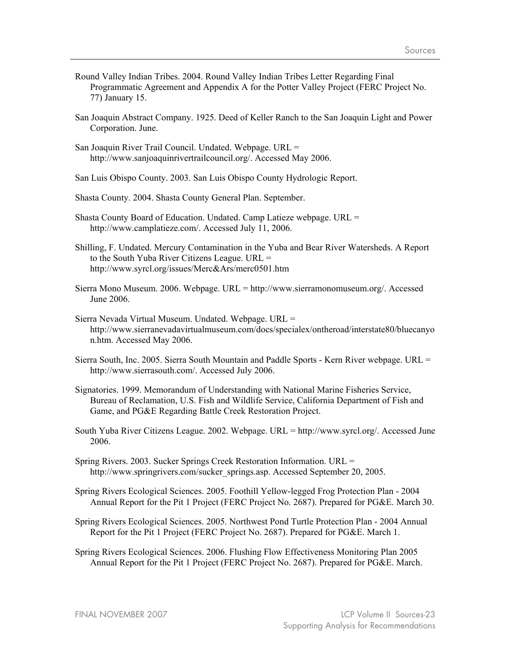- Round Valley Indian Tribes. 2004. Round Valley Indian Tribes Letter Regarding Final Programmatic Agreement and Appendix A for the Potter Valley Project (FERC Project No. 77) January 15.
- San Joaquin Abstract Company. 1925. Deed of Keller Ranch to the San Joaquin Light and Power Corporation. June.
- San Joaquin River Trail Council. Undated. Webpage. URL = http://www.sanjoaquinrivertrailcouncil.org/. Accessed May 2006.
- San Luis Obispo County. 2003. San Luis Obispo County Hydrologic Report.
- Shasta County. 2004. Shasta County General Plan. September.
- Shasta County Board of Education. Undated. Camp Latieze webpage. URL = http://www.camplatieze.com/. Accessed July 11, 2006.
- Shilling, F. Undated. Mercury Contamination in the Yuba and Bear River Watersheds. A Report to the South Yuba River Citizens League. URL = http://www.syrcl.org/issues/Merc&Ars/merc0501.htm
- Sierra Mono Museum. 2006. Webpage. URL = http://www.sierramonomuseum.org/. Accessed June 2006.
- Sierra Nevada Virtual Museum. Undated. Webpage. URL = http://www.sierranevadavirtualmuseum.com/docs/specialex/ontheroad/interstate80/bluecanyo n.htm. Accessed May 2006.
- Sierra South, Inc. 2005. Sierra South Mountain and Paddle Sports Kern River webpage. URL = http://www.sierrasouth.com/. Accessed July 2006.
- Signatories. 1999. Memorandum of Understanding with National Marine Fisheries Service, Bureau of Reclamation, U.S. Fish and Wildlife Service, California Department of Fish and Game, and PG&E Regarding Battle Creek Restoration Project.
- South Yuba River Citizens League. 2002. Webpage. URL = http://www.syrcl.org/. Accessed June 2006.
- Spring Rivers. 2003. Sucker Springs Creek Restoration Information. URL = http://www.springrivers.com/sucker\_springs.asp. Accessed September 20, 2005.
- Spring Rivers Ecological Sciences. 2005. Foothill Yellow-legged Frog Protection Plan 2004 Annual Report for the Pit 1 Project (FERC Project No. 2687). Prepared for PG&E. March 30.
- Spring Rivers Ecological Sciences. 2005. Northwest Pond Turtle Protection Plan 2004 Annual Report for the Pit 1 Project (FERC Project No. 2687). Prepared for PG&E. March 1.
- Spring Rivers Ecological Sciences. 2006. Flushing Flow Effectiveness Monitoring Plan 2005 Annual Report for the Pit 1 Project (FERC Project No. 2687). Prepared for PG&E. March.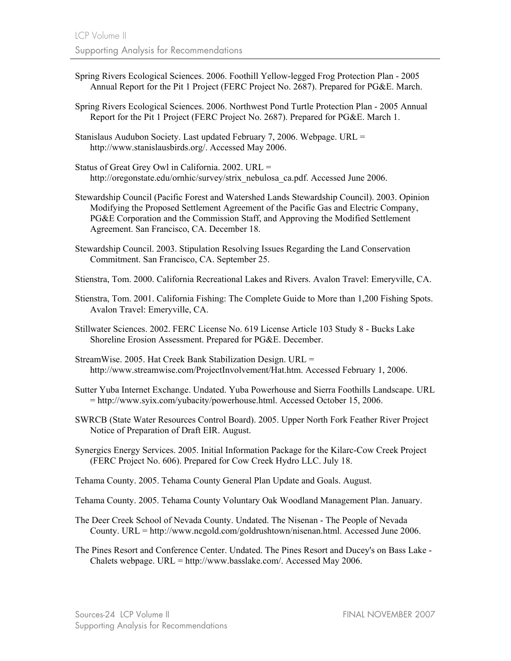- Spring Rivers Ecological Sciences. 2006. Foothill Yellow-legged Frog Protection Plan 2005 Annual Report for the Pit 1 Project (FERC Project No. 2687). Prepared for PG&E. March.
- Spring Rivers Ecological Sciences. 2006. Northwest Pond Turtle Protection Plan 2005 Annual Report for the Pit 1 Project (FERC Project No. 2687). Prepared for PG&E. March 1.
- Stanislaus Audubon Society. Last updated February 7, 2006. Webpage. URL = http://www.stanislausbirds.org/. Accessed May 2006.
- Status of Great Grey Owl in California. 2002. URL = http://oregonstate.edu/ornhic/survey/strix\_nebulosa\_ca.pdf. Accessed June 2006.
- Stewardship Council (Pacific Forest and Watershed Lands Stewardship Council). 2003. Opinion Modifying the Proposed Settlement Agreement of the Pacific Gas and Electric Company, PG&E Corporation and the Commission Staff, and Approving the Modified Settlement Agreement. San Francisco, CA. December 18.
- Stewardship Council. 2003. Stipulation Resolving Issues Regarding the Land Conservation Commitment. San Francisco, CA. September 25.
- Stienstra, Tom. 2000. California Recreational Lakes and Rivers. Avalon Travel: Emeryville, CA.
- Stienstra, Tom. 2001. California Fishing: The Complete Guide to More than 1,200 Fishing Spots. Avalon Travel: Emeryville, CA.
- Stillwater Sciences. 2002. FERC License No. 619 License Article 103 Study 8 Bucks Lake Shoreline Erosion Assessment. Prepared for PG&E. December.
- StreamWise. 2005. Hat Creek Bank Stabilization Design. URL = http://www.streamwise.com/ProjectInvolvement/Hat.htm. Accessed February 1, 2006.
- Sutter Yuba Internet Exchange. Undated. Yuba Powerhouse and Sierra Foothills Landscape. URL = http://www.syix.com/yubacity/powerhouse.html. Accessed October 15, 2006.
- SWRCB (State Water Resources Control Board). 2005. Upper North Fork Feather River Project Notice of Preparation of Draft EIR. August.
- Synergics Energy Services. 2005. Initial Information Package for the Kilarc-Cow Creek Project (FERC Project No. 606). Prepared for Cow Creek Hydro LLC. July 18.

Tehama County. 2005. Tehama County General Plan Update and Goals. August.

- Tehama County. 2005. Tehama County Voluntary Oak Woodland Management Plan. January.
- The Deer Creek School of Nevada County. Undated. The Nisenan The People of Nevada County. URL = http://www.ncgold.com/goldrushtown/nisenan.html. Accessed June 2006.
- The Pines Resort and Conference Center. Undated. The Pines Resort and Ducey's on Bass Lake Chalets webpage. URL = http://www.basslake.com/. Accessed May 2006.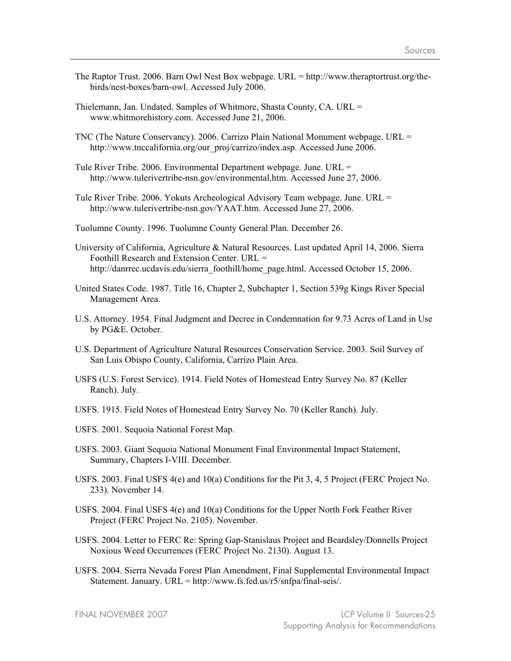- The Raptor Trust. 2006. Barn Owl Nest Box webpage. URL = http://www.theraptortrust.org/thebirds/nest-boxes/barn-owl. Accessed July 2006.
- Thielemann, Jan. Undated. Samples of Whitmore, Shasta County, CA. URL = www.whitmorehistory.com. Accessed June 21, 2006.
- TNC (The Nature Conservancy). 2006. Carrizo Plain National Monument webpage. URL = http://www.tnccalifornia.org/our\_proj/carrizo/index.asp. Accessed June 2006.
- Tule River Tribe. 2006. Environmental Department webpage. June. URL = http://www.tulerivertribe-nsn.gov/environmental.htm. Accessed June 27, 2006.
- Tule River Tribe. 2006. Yokuts Archeological Advisory Team webpage. June. URL = http://www.tulerivertribe-nsn.gov/YAAT.htm. Accessed June 27, 2006.
- Tuolumne County. 1996. Tuolumne County General Plan. December 26.
- University of California, Agriculture & Natural Resources. Last updated April 14, 2006. Sierra Foothill Research and Extension Center. URL = http://danrrec.ucdavis.edu/sierra\_foothill/home\_page.html. Accessed October 15, 2006.
- United States Code. 1987. Title 16, Chapter 2, Subchapter 1, Section 539g Kings River Special Management Area.
- U.S. Attorney. 1954. Final Judgment and Decree in Condemnation for 9.73 Acres of Land in Use by PG&E. October.
- U.S. Department of Agriculture Natural Resources Conservation Service. 2003. Soil Survey of San Luis Obispo County, California, Carrizo Plain Area.
- USFS (U.S. Forest Service). 1914. Field Notes of Homestead Entry Survey No. 87 (Keller Ranch). July.
- USFS. 1915. Field Notes of Homestead Entry Survey No. 70 (Keller Ranch). July.
- USFS. 2001. Sequoia National Forest Map.
- USFS. 2003. Giant Sequoia National Monument Final Environmental Impact Statement, Summary, Chapters I-VIII. December.
- USFS. 2003. Final USFS 4(e) and 10(a) Conditions for the Pit 3, 4, 5 Project (FERC Project No. 233). November 14.
- USFS. 2004. Final USFS 4(e) and 10(a) Conditions for the Upper North Fork Feather River Project (FERC Project No. 2105). November.
- USFS. 2004. Letter to FERC Re: Spring Gap-Stanislaus Project and Beardsley/Donnells Project Noxious Weed Occurrences (FERC Project No. 2130). August 13.
- USFS. 2004. Sierra Nevada Forest Plan Amendment, Final Supplemental Environmental Impact Statement. January. URL = http://www.fs.fed.us/r5/snfpa/final-seis/.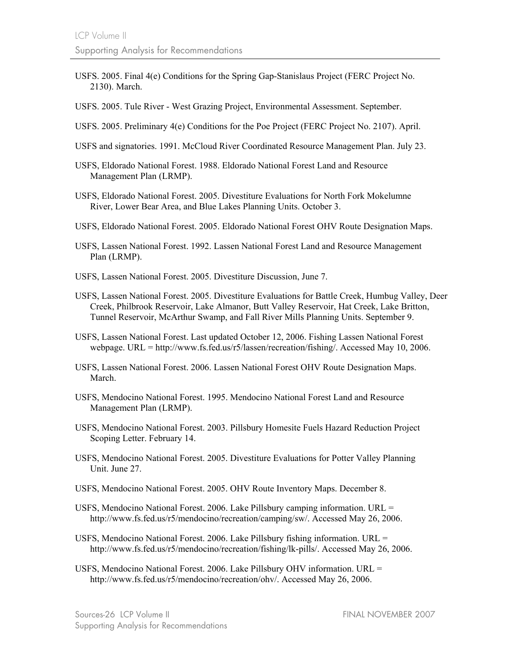- USFS. 2005. Final 4(e) Conditions for the Spring Gap-Stanislaus Project (FERC Project No. 2130). March.
- USFS. 2005. Tule River West Grazing Project, Environmental Assessment. September.
- USFS. 2005. Preliminary 4(e) Conditions for the Poe Project (FERC Project No. 2107). April.
- USFS and signatories. 1991. McCloud River Coordinated Resource Management Plan. July 23.
- USFS, Eldorado National Forest. 1988. Eldorado National Forest Land and Resource Management Plan (LRMP).
- USFS, Eldorado National Forest. 2005. Divestiture Evaluations for North Fork Mokelumne River, Lower Bear Area, and Blue Lakes Planning Units. October 3.
- USFS, Eldorado National Forest. 2005. Eldorado National Forest OHV Route Designation Maps.
- USFS, Lassen National Forest. 1992. Lassen National Forest Land and Resource Management Plan (LRMP).
- USFS, Lassen National Forest. 2005. Divestiture Discussion, June 7.
- USFS, Lassen National Forest. 2005. Divestiture Evaluations for Battle Creek, Humbug Valley, Deer Creek, Philbrook Reservoir, Lake Almanor, Butt Valley Reservoir, Hat Creek, Lake Britton, Tunnel Reservoir, McArthur Swamp, and Fall River Mills Planning Units. September 9.
- USFS, Lassen National Forest. Last updated October 12, 2006. Fishing Lassen National Forest webpage. URL = http://www.fs.fed.us/r5/lassen/recreation/fishing/. Accessed May 10, 2006.
- USFS, Lassen National Forest. 2006. Lassen National Forest OHV Route Designation Maps. March.
- USFS, Mendocino National Forest. 1995. Mendocino National Forest Land and Resource Management Plan (LRMP).
- USFS, Mendocino National Forest. 2003. Pillsbury Homesite Fuels Hazard Reduction Project Scoping Letter. February 14.
- USFS, Mendocino National Forest. 2005. Divestiture Evaluations for Potter Valley Planning Unit. June 27.
- USFS, Mendocino National Forest. 2005. OHV Route Inventory Maps. December 8.
- USFS, Mendocino National Forest. 2006. Lake Pillsbury camping information. URL = http://www.fs.fed.us/r5/mendocino/recreation/camping/sw/. Accessed May 26, 2006.
- USFS, Mendocino National Forest. 2006. Lake Pillsbury fishing information. URL = http://www.fs.fed.us/r5/mendocino/recreation/fishing/lk-pills/. Accessed May 26, 2006.
- USFS, Mendocino National Forest. 2006. Lake Pillsbury OHV information. URL = http://www.fs.fed.us/r5/mendocino/recreation/ohv/. Accessed May 26, 2006.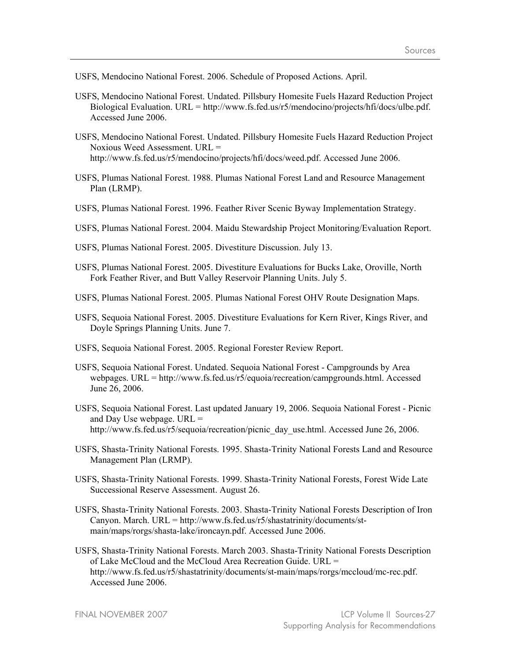USFS, Mendocino National Forest. 2006. Schedule of Proposed Actions. April.

- USFS, Mendocino National Forest. Undated. Pillsbury Homesite Fuels Hazard Reduction Project Biological Evaluation. URL = http://www.fs.fed.us/r5/mendocino/projects/hfi/docs/ulbe.pdf. Accessed June 2006.
- USFS, Mendocino National Forest. Undated. Pillsbury Homesite Fuels Hazard Reduction Project Noxious Weed Assessment. URL = http://www.fs.fed.us/r5/mendocino/projects/hfi/docs/weed.pdf. Accessed June 2006.
- USFS, Plumas National Forest. 1988. Plumas National Forest Land and Resource Management Plan (LRMP).
- USFS, Plumas National Forest. 1996. Feather River Scenic Byway Implementation Strategy.
- USFS, Plumas National Forest. 2004. Maidu Stewardship Project Monitoring/Evaluation Report.
- USFS, Plumas National Forest. 2005. Divestiture Discussion. July 13.
- USFS, Plumas National Forest. 2005. Divestiture Evaluations for Bucks Lake, Oroville, North Fork Feather River, and Butt Valley Reservoir Planning Units. July 5.
- USFS, Plumas National Forest. 2005. Plumas National Forest OHV Route Designation Maps.
- USFS, Sequoia National Forest. 2005. Divestiture Evaluations for Kern River, Kings River, and Doyle Springs Planning Units. June 7.
- USFS, Sequoia National Forest. 2005. Regional Forester Review Report.
- USFS, Sequoia National Forest. Undated. Sequoia National Forest Campgrounds by Area webpages. URL = http://www.fs.fed.us/r5/equoia/recreation/campgrounds.html. Accessed June 26, 2006.
- USFS, Sequoia National Forest. Last updated January 19, 2006. Sequoia National Forest Picnic and Day Use webpage. URL = http://www.fs.fed.us/r5/sequoia/recreation/picnic\_day\_use.html. Accessed June 26, 2006.
- USFS, Shasta-Trinity National Forests. 1995. Shasta-Trinity National Forests Land and Resource Management Plan (LRMP).
- USFS, Shasta-Trinity National Forests. 1999. Shasta-Trinity National Forests, Forest Wide Late Successional Reserve Assessment. August 26.
- USFS, Shasta-Trinity National Forests. 2003. Shasta-Trinity National Forests Description of Iron Canyon. March. URL = http://www.fs.fed.us/r5/shastatrinity/documents/stmain/maps/rorgs/shasta-lake/ironcayn.pdf. Accessed June 2006.
- USFS, Shasta-Trinity National Forests. March 2003. Shasta-Trinity National Forests Description of Lake McCloud and the McCloud Area Recreation Guide. URL = http://www.fs.fed.us/r5/shastatrinity/documents/st-main/maps/rorgs/mccloud/mc-rec.pdf. Accessed June 2006.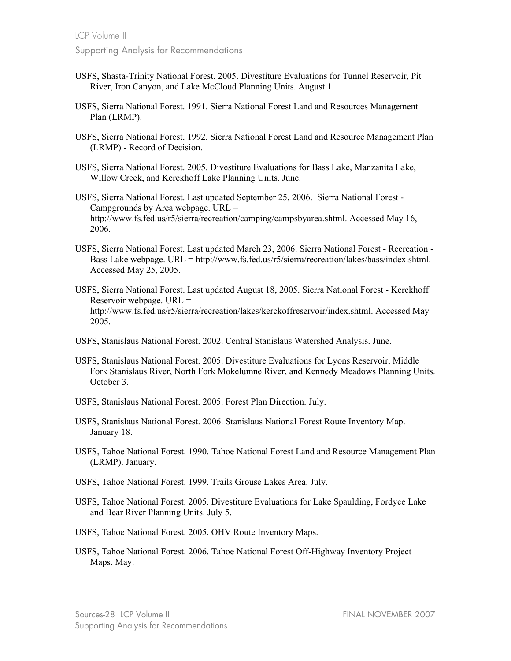- USFS, Shasta-Trinity National Forest. 2005. Divestiture Evaluations for Tunnel Reservoir, Pit River, Iron Canyon, and Lake McCloud Planning Units. August 1.
- USFS, Sierra National Forest. 1991. Sierra National Forest Land and Resources Management Plan (LRMP).
- USFS, Sierra National Forest. 1992. Sierra National Forest Land and Resource Management Plan (LRMP) - Record of Decision.
- USFS, Sierra National Forest. 2005. Divestiture Evaluations for Bass Lake, Manzanita Lake, Willow Creek, and Kerckhoff Lake Planning Units. June.
- USFS, Sierra National Forest. Last updated September 25, 2006. Sierra National Forest Campgrounds by Area webpage. URL = http://www.fs.fed.us/r5/sierra/recreation/camping/campsbyarea.shtml. Accessed May 16, 2006.
- USFS, Sierra National Forest. Last updated March 23, 2006. Sierra National Forest Recreation Bass Lake webpage. URL = http://www.fs.fed.us/r5/sierra/recreation/lakes/bass/index.shtml. Accessed May 25, 2005.
- USFS, Sierra National Forest. Last updated August 18, 2005. Sierra National Forest Kerckhoff Reservoir webpage. URL = http://www.fs.fed.us/r5/sierra/recreation/lakes/kerckoffreservoir/index.shtml. Accessed May 2005.
- USFS, Stanislaus National Forest. 2002. Central Stanislaus Watershed Analysis. June.
- USFS, Stanislaus National Forest. 2005. Divestiture Evaluations for Lyons Reservoir, Middle Fork Stanislaus River, North Fork Mokelumne River, and Kennedy Meadows Planning Units. October 3.
- USFS, Stanislaus National Forest. 2005. Forest Plan Direction. July.
- USFS, Stanislaus National Forest. 2006. Stanislaus National Forest Route Inventory Map. January 18.
- USFS, Tahoe National Forest. 1990. Tahoe National Forest Land and Resource Management Plan (LRMP). January.
- USFS, Tahoe National Forest. 1999. Trails Grouse Lakes Area. July.
- USFS, Tahoe National Forest. 2005. Divestiture Evaluations for Lake Spaulding, Fordyce Lake and Bear River Planning Units. July 5.
- USFS, Tahoe National Forest. 2005. OHV Route Inventory Maps.
- USFS, Tahoe National Forest. 2006. Tahoe National Forest Off-Highway Inventory Project Maps. May.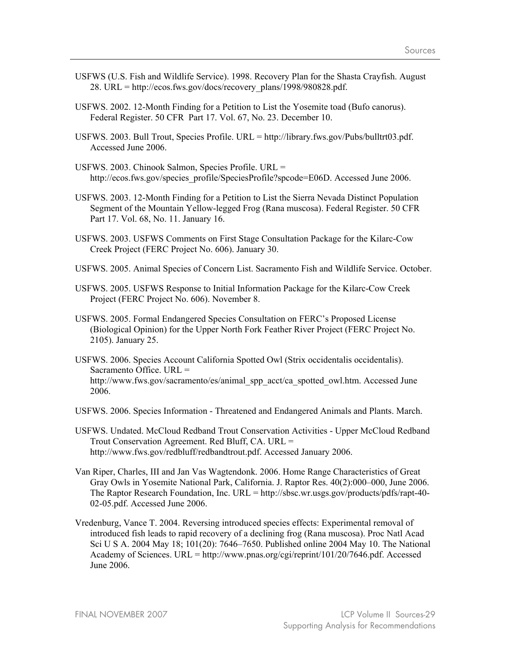- USFWS (U.S. Fish and Wildlife Service). 1998. Recovery Plan for the Shasta Crayfish. August 28. URL = http://ecos.fws.gov/docs/recovery\_plans/1998/980828.pdf.
- USFWS. 2002. 12-Month Finding for a Petition to List the Yosemite toad (Bufo canorus). Federal Register. 50 CFR Part 17. Vol. 67, No. 23. December 10.
- USFWS. 2003. Bull Trout, Species Profile. URL = http://library.fws.gov/Pubs/bulltrt03.pdf. Accessed June 2006.
- USFWS. 2003. Chinook Salmon, Species Profile. URL = http://ecos.fws.gov/species\_profile/SpeciesProfile?spcode=E06D. Accessed June 2006.
- USFWS. 2003. 12-Month Finding for a Petition to List the Sierra Nevada Distinct Population Segment of the Mountain Yellow-legged Frog (Rana muscosa). Federal Register. 50 CFR Part 17. Vol. 68, No. 11. January 16.
- USFWS. 2003. USFWS Comments on First Stage Consultation Package for the Kilarc-Cow Creek Project (FERC Project No. 606). January 30.
- USFWS. 2005. Animal Species of Concern List. Sacramento Fish and Wildlife Service. October.
- USFWS. 2005. USFWS Response to Initial Information Package for the Kilarc-Cow Creek Project (FERC Project No. 606). November 8.
- USFWS. 2005. Formal Endangered Species Consultation on FERC's Proposed License (Biological Opinion) for the Upper North Fork Feather River Project (FERC Project No. 2105). January 25.
- USFWS. 2006. Species Account California Spotted Owl (Strix occidentalis occidentalis). Sacramento Office. URL = http://www.fws.gov/sacramento/es/animal\_spp\_acct/ca\_spotted\_owl.htm. Accessed June 2006.
- USFWS. 2006. Species Information Threatened and Endangered Animals and Plants. March.
- USFWS. Undated. McCloud Redband Trout Conservation Activities Upper McCloud Redband Trout Conservation Agreement. Red Bluff, CA. URL = http://www.fws.gov/redbluff/redbandtrout.pdf. Accessed January 2006.
- Van Riper, Charles, III and Jan Vas Wagtendonk. 2006. Home Range Characteristics of Great Gray Owls in Yosemite National Park, California. J. Raptor Res. 40(2):000–000, June 2006. The Raptor Research Foundation, Inc. URL = http://sbsc.wr.usgs.gov/products/pdfs/rapt-40- 02-05.pdf. Accessed June 2006.
- Vredenburg, Vance T. 2004. Reversing introduced species effects: Experimental removal of introduced fish leads to rapid recovery of a declining frog (Rana muscosa). Proc Natl Acad Sci U S A. 2004 May 18; 101(20): 7646–7650. Published online 2004 May 10. The National Academy of Sciences. URL = http://www.pnas.org/cgi/reprint/101/20/7646.pdf. Accessed June 2006.